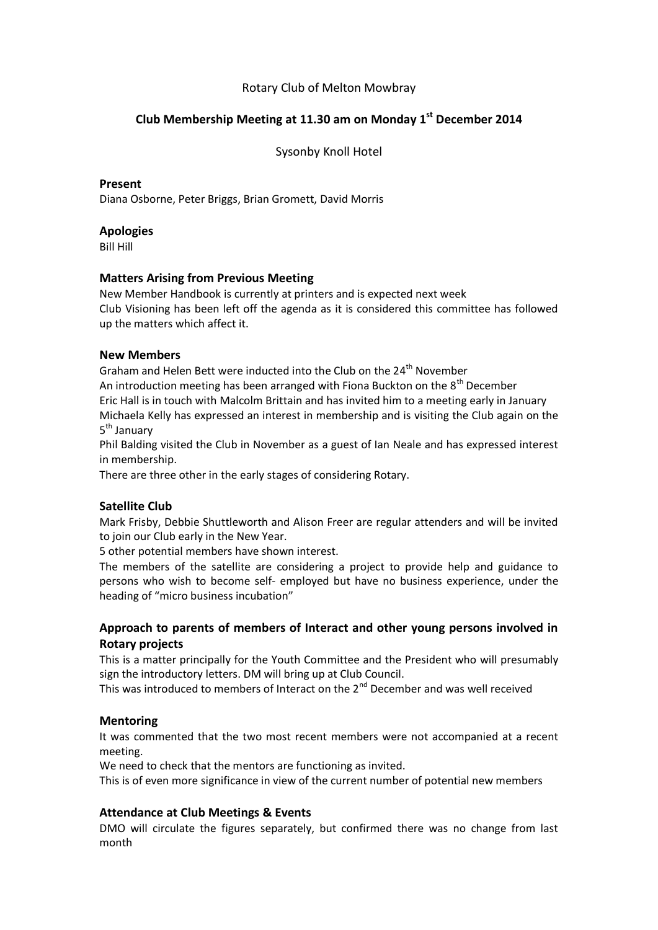### Rotary Club of Melton Mowbray

## **Club Membership Meeting at 11.30 am on Monday 1 st December 2014**

Sysonby Knoll Hotel

#### **Present**

Diana Osborne, Peter Briggs, Brian Gromett, David Morris

### **Apologies**

Bill Hill

### **Matters Arising from Previous Meeting**

New Member Handbook is currently at printers and is expected next week Club Visioning has been left off the agenda as it is considered this committee has followed up the matters which affect it.

#### **New Members**

Graham and Helen Bett were inducted into the Club on the 24<sup>th</sup> November An introduction meeting has been arranged with Fiona Buckton on the  $8<sup>th</sup>$  December Eric Hall is in touch with Malcolm Brittain and has invited him to a meeting early in January Michaela Kelly has expressed an interest in membership and is visiting the Club again on the 5<sup>th</sup> January

Phil Balding visited the Club in November as a guest of Ian Neale and has expressed interest in membership.

There are three other in the early stages of considering Rotary.

### **Satellite Club**

Mark Frisby, Debbie Shuttleworth and Alison Freer are regular attenders and will be invited to join our Club early in the New Year.

5 other potential members have shown interest.

The members of the satellite are considering a project to provide help and guidance to persons who wish to become self- employed but have no business experience, under the heading of "micro business incubation"

## **Approach to parents of members of Interact and other young persons involved in Rotary projects**

This is a matter principally for the Youth Committee and the President who will presumably sign the introductory letters. DM will bring up at Club Council.

This was introduced to members of Interact on the  $2^{nd}$  December and was well received

### **Mentoring**

It was commented that the two most recent members were not accompanied at a recent meeting.

We need to check that the mentors are functioning as invited.

This is of even more significance in view of the current number of potential new members

### **Attendance at Club Meetings & Events**

DMO will circulate the figures separately, but confirmed there was no change from last month